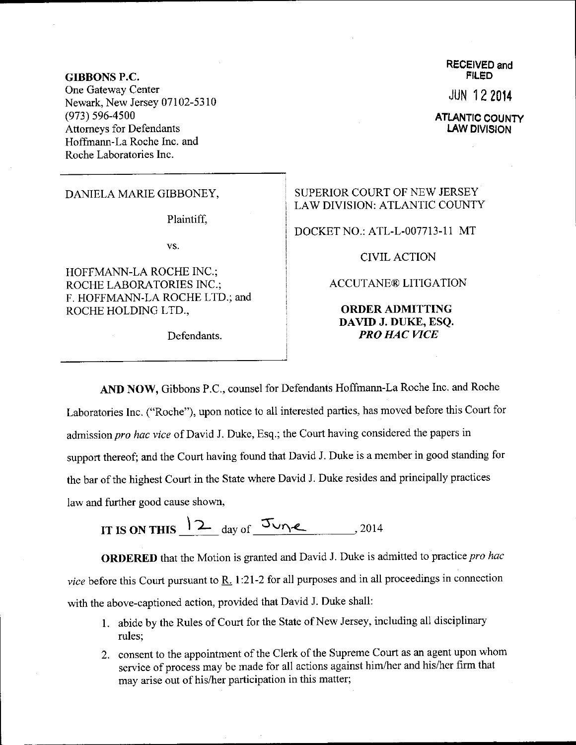GIBBONS P.C, One Gateway Center Newark, New Jersey 07102-5310 (973) s96-4500 Attomeys for Defendants Hoffmann-La Roche Inc. and Roche Laboratories Inc.

DANIELA MARIE GIBBONEY,

Plaintiff.

vs.

HOFFMANN-LA ROCHE INC.; ROCHE LABORATORIES INC.; F. HOFFMANN-LA ROCHE LTD.; and ROCHE HOLDING LTD.,

Defendants.

RECEIVED and **FILED** 

JUN 12 20t4

**ATLANTIC COUNTY** LAW DIVISION

## SUPERIOR COURT OF NEW JERSEY LAW DIVISION: ATLANTIC COUNTY

DOCKET NO.: ATL-L-007713-1 1 MT

## CIVIL ACTION

## ACCUTANE@ LITIGATION

## ORDER ADMITTING DAVID J. DUKE, ESQ. PRO HAC WCE

AND NOW, Gibbons P.C., counsel for Defendants Hoffmann-La Roche Inc. and Roche Laboratories Inc. ("Roche"), upon notice to all interested parties, has moved before this Courl for admission pro hac vice of David J. Duke, Esq.; the Court having considered the papers in support thereof; and the court having found that David J. Duke is a member in good standing for the bar of the highest Court in the State where David J. Duke resides and principally practices Iaw and further good cause shown,

IT IS ON THIS  $2 \frac{\text{day of}}{\text{day of}} 5 \frac{\text{day}}{\text{day}}$  2014

ORDERED that the Motion is granted and David J. Duke is admitted to practice pro hac vice before this Court pursuant to  $\underline{R}$ . 1:21-2 for all purposes and in all proceedings in connection with the above-captioned action, provided that David J. Duke shall:

- 1. abide by the Rules of Court for the State of New Jersey, including all disciplinary rules;
- 2. consent to the appointment of the Clerk of the Supreme Court as an agent upon whom service of process may be made for all actions against him/her and his/her firm that may arise out of his/her participation in this matter;